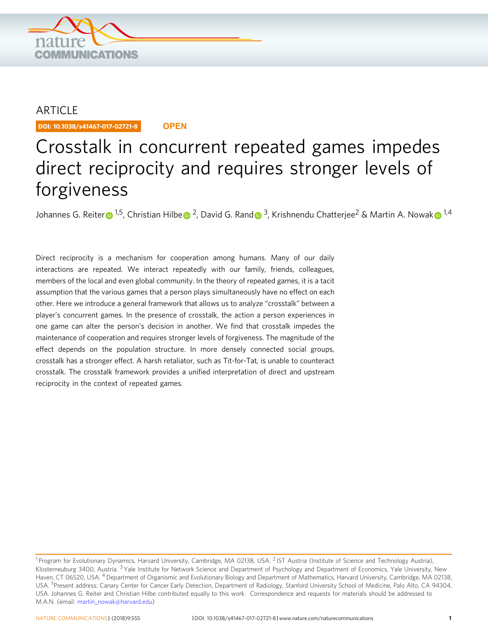

## **ARTICLE**

DOI: 10.1038/s41467-017-02721-8 **OPEN**

# Crosstalk in concurrent repeated games impedes direct reciprocity and requires stronger levels of forgiveness

Johannes G. Reite[r](http://orcid.org/0000-0002-0170-7353)  $\bigcirc$  1,5, Christian Hilb[e](http://orcid.org/0000-0001-5116-955X)  $\bigcirc$  <sup>2</sup>, Davi[d](http://orcid.org/0000-0001-8975-2783) G. Rand  $\bigcirc$  <sup>3</sup>, Krishnendu Chatterjee<sup>2</sup> & Martin A. Nowa[k](http://orcid.org/0000-0001-5489-0908)  $\bigcirc$  [1](http://orcid.org/0000-0001-5489-0908),4

Direct reciprocity is a mechanism for cooperation among humans. Many of our daily interactions are repeated. We interact repeatedly with our family, friends, colleagues, members of the local and even global community. In the theory of repeated games, it is a tacit assumption that the various games that a person plays simultaneously have no effect on each other. Here we introduce a general framework that allows us to analyze "crosstalk" between a player's concurrent games. In the presence of crosstalk, the action a person experiences in one game can alter the person's decision in another. We find that crosstalk impedes the maintenance of cooperation and requires stronger levels of forgiveness. The magnitude of the effect depends on the population structure. In more densely connected social groups, crosstalk has a stronger effect. A harsh retaliator, such as Tit-for-Tat, is unable to counteract crosstalk. The crosstalk framework provides a unified interpretation of direct and upstream reciprocity in the context of repeated games.

<sup>&</sup>lt;sup>1</sup> Program for Evolutionary Dynamics, Harvard University, Cambridge, MA 02138, USA. <sup>2</sup> IST Austria (Institute of Science and Technology Austria), Klosterneuburg 3400, Austria. <sup>3</sup> Yale Institute for Network Science and Department of Psychology and Department of Economics, Yale University, New Haven, CT 06520, USA. <sup>4</sup> Department of Organismic and Evolutionary Biology and Department of Mathematics, Harvard University, Cambridge, MA 02138, USA. <sup>5</sup>Present address: Canary Center for Cancer Early Detection, Department of Radiology, Stanford University School of Medicine, Palo Alto, CA 94304, USA. Johannes G. Reiter and Christian Hilbe contributed equally to this work. Correspondence and requests for materials should be addressed to M.A.N. (email: [martin\\_nowak@harvard.edu\)](mailto:martin_nowak@harvard.edu)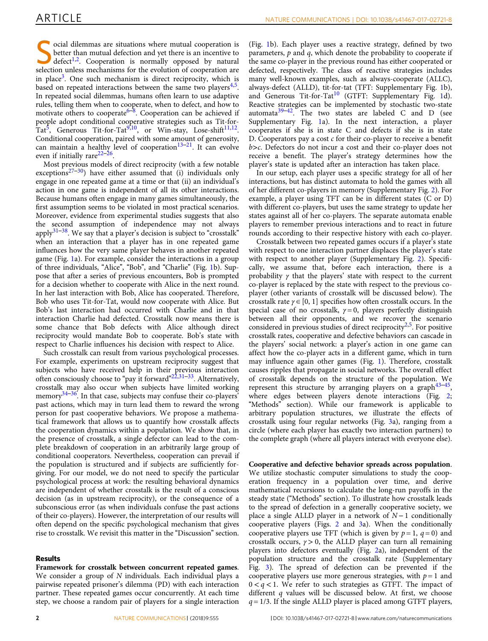ocial dilemmas are situations where mutual cooperation is better than mutual defection and yet there is an incentive to  $\text{defect}^{1,2}$  $\text{defect}^{1,2}$  $\text{defect}^{1,2}$  $\text{defect}^{1,2}$  $\text{defect}^{1,2}$ . Cooperation is normally opposed by natural selection unless mechanisms for the evolution of cooperation are in place<sup>3</sup>. One such mechanism is direct reciprocity, which is based on repeated interactions between the same two players $4.5$  $4.5$ . In repeated social dilemmas, humans often learn to use adaptive rules, telling them when to cooperate, when to defect, and how to motivate others to cooperate  $6-8$  $6-8$ . Cooperation can be achieved if people adopt conditional cooperative strategies such as Tit-for-Tat<sup>[5](#page-6-0)</sup>, Generous Tit-for-Tat<sup>[9](#page-6-0),[10](#page-6-0)</sup>, or Win-stay, Lose-shift<sup>11,12</sup>. Conditional cooperation, paired with some amount of generosity, can maintain a healthy level of cooperation<sup>[13](#page-6-0)–21</sup>. It can evolve even if initially rare $22-26$  $22-26$ .

Most previous models of direct reciprocity (with a few notable exceptions<sup>[27](#page-7-0)–30</sup>) have either assumed that (i) individuals only engage in one repeated game at a time or that (ii) an individual's action in one game is independent of all its other interactions. Because humans often engage in many games simultaneously, the first assumption seems to be violated in most practical scenarios. Moreover, evidence from experimental studies suggests that also the second assumption of independence may not always apply $31-38$  $31-38$ . We say that a player's decision is subject to "crosstalk" when an interaction that a player has in one repeated game influences how the very same player behaves in another repeated game (Fig. [1a](#page-2-0)). For example, consider the interactions in a group of three individuals, "Alice", "Bob", and "Charlie" (Fig. [1b](#page-2-0)). Suppose that after a series of previous encounters, Bob is prompted for a decision whether to cooperate with Alice in the next round. In her last interaction with Bob, Alice has cooperated. Therefore, Bob who uses Tit-for-Tat, would now cooperate with Alice. But Bob's last interaction had occurred with Charlie and in that interaction Charlie had defected. Crosstalk now means there is some chance that Bob defects with Alice although direct reciprocity would mandate Bob to cooperate. Bob's state with respect to Charlie influences his decision with respect to Alice.

Such crosstalk can result from various psychological processes. For example, experiments on upstream reciprocity suggest that subjects who have received help in their previous interaction often consciously choose to "pay it forward"<sup>[22](#page-6-0)[,31](#page-7-0)–[33](#page-7-0)</sup>. Alternatively, crosstalk may also occur when subjects have limited working memory $34-36$ . In that case, subjects may confuse their co-players' past actions, which may in turn lead them to reward the wrong person for past cooperative behaviors. We propose a mathematical framework that allows us to quantify how crosstalk affects the cooperation dynamics within a population. We show that, in the presence of crosstalk, a single defector can lead to the complete breakdown of cooperation in an arbitrarily large group of conditional cooperators. Nevertheless, cooperation can prevail if the population is structured and if subjects are sufficiently forgiving. For our model, we do not need to specify the particular psychological process at work: the resulting behavioral dynamics are independent of whether crosstalk is the result of a conscious decision (as in upstream reciprocity), or the consequence of a subconscious error (as when individuals confuse the past actions of their co-players). However, the interpretation of our results will often depend on the specific psychological mechanism that gives rise to crosstalk. We revisit this matter in the "Discussion" section.

#### Results

Framework for crosstalk between concurrent repeated games. We consider a group of N individuals. Each individual plays a pairwise repeated prisoner's dilemma (PD) with each interaction partner. These repeated games occur concurrently. At each time step, we choose a random pair of players for a single interaction

(Fig. [1b](#page-2-0)). Each player uses a reactive strategy, defined by two parameters,  $p$  and  $q$ , which denote the probability to cooperate if the same co-player in the previous round has either cooperated or defected, respectively. The class of reactive strategies includes many well-known examples, such as always-cooperate (ALLC), always-defect (ALLD), tit-for-tat (TFT: Supplementary Fig. 1b), and Generous Tit-for-Tat<sup>[10](#page-6-0)</sup> (GTFT: Supplementary Fig. 1d). Reactive strategies can be implemented by stochastic two-state automata $39-42$  $39-42$  $39-42$ . The two states are labeled C and D (see Supplementary Fig. 1a). In the next interaction, a player cooperates if she is in state C and defects if she is in state D. Cooperators pay a cost  $c$  for their co-player to receive a benefit b>c. Defectors do not incur a cost and their co-player does not receive a benefit. The player's strategy determines how the player's state is updated after an interaction has taken place.

In our setup, each player uses a specific strategy for all of her interactions, but has distinct automata to hold the games with all of her different co-players in memory (Supplementary Fig. 2). For example, a player using TFT can be in different states (C or D) with different co-players, but uses the same strategy to update her states against all of her co-players. The separate automata enable players to remember previous interactions and to react in future rounds according to their respective history with each co-player.

Crosstalk between two repeated games occurs if a player's state with respect to one interaction partner displaces the player's state with respect to another player (Supplementary Fig. 2). Specifically, we assume that, before each interaction, there is a probability  $\gamma$  that the players' state with respect to the current co-player is replaced by the state with respect to the previous coplayer (other variants of crosstalk will be discussed below). The crosstalk rate  $\gamma \in [0, 1]$  specifies how often crosstalk occurs. In the special case of no crosstalk,  $\gamma = 0$ , players perfectly distinguish between all their opponents, and we recover the scenario considered in previous studies of direct reciprocity<sup>2,5</sup>. For positive crosstalk rates, cooperative and defective behaviors can cascade in the players' social network: a player's action in one game can affect how the co-player acts in a different game, which in turn may influence again other games (Fig. [1\)](#page-2-0). Therefore, crosstalk causes ripples that propagate in social networks. The overall effect of crosstalk depends on the structure of the population. We represent this structure by arranging players on a graph<sup>[43](#page-7-0)-45</sup>, where edges between players denote interactions (Fig. [2;](#page-2-0) "Methods" section). While our framework is applicable to arbitrary population structures, we illustrate the effects of crosstalk using four regular networks (Fig. [3a](#page-3-0)), ranging from a circle (where each player has exactly two interaction partners) to the complete graph (where all players interact with everyone else).

#### Cooperative and defective behavior spreads across population.

We utilize stochastic computer simulations to study the cooperation frequency in a population over time, and derive mathematical recursions to calculate the long-run payoffs in the steady state ("Methods" section). To illustrate how crosstalk leads to the spread of defection in a generally cooperative society, we place a single ALLD player in a network of  $N-1$  conditionally cooperative players (Figs. [2](#page-2-0) and [3a](#page-3-0)). When the conditionally cooperative players use TFT (which is given by  $p = 1$ ,  $q = 0$ ) and crosstalk occurs,  $\gamma > 0$ , the ALLD player can turn all remaining players into defectors eventually (Fig. [2a](#page-2-0)), independent of the population structure and the crosstalk rate (Supplementary Fig. 3). The spread of defection can be prevented if the cooperative players use more generous strategies, with  $p = 1$  and  $0 < q < 1$ . We refer to such strategies as GTFT. The impact of different  $q$  values will be discussed below. At first, we choose  $q = 1/3$ . If the single ALLD player is placed among GTFT players,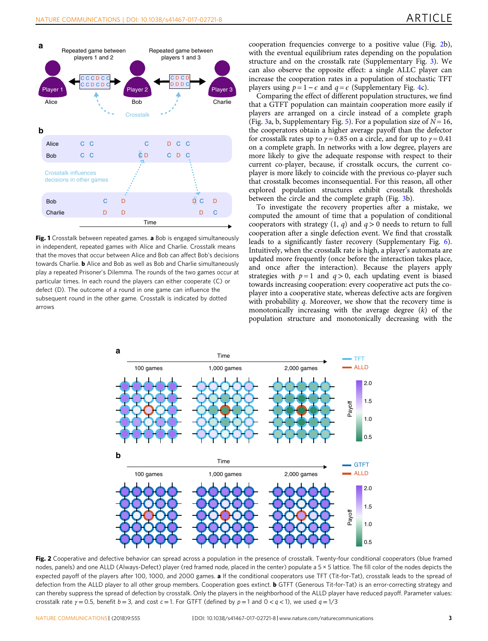<span id="page-2-0"></span>

Fig. 1 Crosstalk between repeated games. a Bob is engaged simultaneously in independent, repeated games with Alice and Charlie. Crosstalk means that the moves that occur between Alice and Bob can affect Bob's decisions towards Charlie. **b** Alice and Bob as well as Bob and Charlie simultaneously play a repeated Prisoner's Dilemma. The rounds of the two games occur at particular times. In each round the players can either cooperate (C) or defect (D). The outcome of a round in one game can influence the subsequent round in the other game. Crosstalk is indicated by dotted arrows

cooperation frequencies converge to a positive value (Fig. 2b), with the eventual equilibrium rates depending on the population structure and on the crosstalk rate (Supplementary Fig. 3). We can also observe the opposite effect: a single ALLC player can increase the cooperation rates in a population of stochastic TFT players using  $p = 1 - \epsilon$  and  $q = \epsilon$  (Supplementary Fig. 4c).

Comparing the effect of different population structures, we find that a GTFT population can maintain cooperation more easily if players are arranged on a circle instead of a complete graph (Fig. [3a](#page-3-0), b, Supplementary Fig. 5). For a population size of  $N = 16$ , the cooperators obtain a higher average payoff than the defector for crosstalk rates up to  $\gamma = 0.85$  on a circle, and for up to  $\gamma = 0.41$ on a complete graph. In networks with a low degree, players are more likely to give the adequate response with respect to their current co-player, because, if crosstalk occurs, the current coplayer is more likely to coincide with the previous co-player such that crosstalk becomes inconsequential. For this reason, all other explored population structures exhibit crosstalk thresholds between the circle and the complete graph (Fig. [3b](#page-3-0)).

To investigate the recovery properties after a mistake, we computed the amount of time that a population of conditional cooperators with strategy  $(1, q)$  and  $q > 0$  needs to return to full cooperation after a single defection event. We find that crosstalk leads to a significantly faster recovery (Supplementary Fig. 6). Intuitively, when the crosstalk rate is high, a player's automata are updated more frequently (once before the interaction takes place, and once after the interaction). Because the players apply strategies with  $p=1$  and  $q>0$ , each updating event is biased towards increasing cooperation: every cooperative act puts the coplayer into a cooperative state, whereas defective acts are forgiven with probability  $q$ . Moreover, we show that the recovery time is monotonically increasing with the average degree  $(k)$  of the population structure and monotonically decreasing with the



Fig. 2 Cooperative and defective behavior can spread across a population in the presence of crosstalk. Twenty-four conditional cooperators (blue framed nodes, panels) and one ALLD (Always-Defect) player (red framed node, placed in the center) populate a 5 × 5 lattice. The fill color of the nodes depicts the expected payoff of the players after 100, 1000, and 2000 games. a If the conditional cooperators use TFT (Tit-for-Tat), crosstalk leads to the spread of defection from the ALLD player to all other group members. Cooperation goes extinct. **b** GTFT (Generous Tit-for-Tat) is an error-correcting strategy and can thereby suppress the spread of defection by crosstalk. Only the players in the neighborhood of the ALLD player have reduced payoff. Parameter values: crosstalk rate  $\gamma = 0.5$ , benefit  $b = 3$ , and cost  $c = 1$ . For GTFT (defined by  $p = 1$  and  $0 < q < 1$ ), we used  $q = 1/3$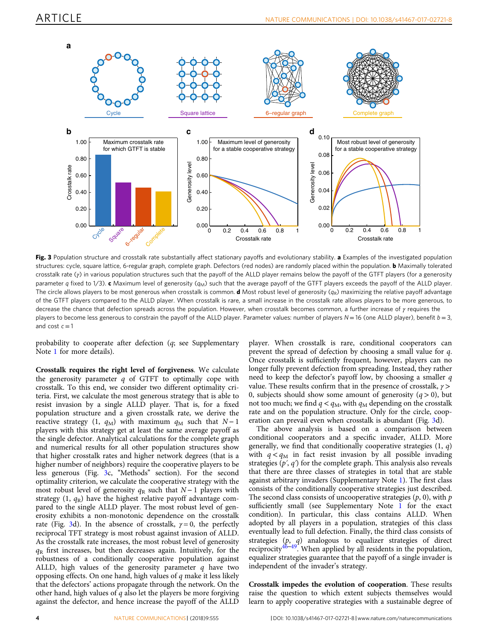<span id="page-3-0"></span>

Fig. 3 Population structure and crosstalk rate substantially affect stationary payoffs and evolutionary stability. a Examples of the investigated population structures: cycle, square lattice, 6-regular graph, complete graph. Defectors (red nodes) are randomly placed within the population. **b** Maximally tolerated crosstalk rate (γ) in various population structures such that the payoff of the ALLD player remains below the payoff of the GTFT players (for a generosity parameter q fixed to 1/3). c Maximum level of generosity ( $q_M$ ) such that the average payoff of the GTFT players exceeds the payoff of the ALLD player. The circle allows players to be most generous when crosstalk is common. **d** Most robust level of generosity ( $q_R$ ) maximizing the relative payoff advantage of the GTFT players compared to the ALLD player. When crosstalk is rare, a small increase in the crosstalk rate allows players to be more generous, to decrease the chance that defection spreads across the population. However, when crosstalk becomes common, a further increase of  $\gamma$  requires the players to become less generous to constrain the payoff of the ALLD player. Parameter values: number of players  $N = 16$  (one ALLD player), benefit  $b = 3$ , and cost  $c = 1$ 

probability to cooperate after defection (q; see Supplementary Note 1 for more details).

Crosstalk requires the right level of forgiveness. We calculate the generosity parameter  $q$  of GTFT to optimally cope with crosstalk. To this end, we consider two different optimality criteria. First, we calculate the most generous strategy that is able to resist invasion by a single ALLD player. That is, for a fixed population structure and a given crosstalk rate, we derive the reactive strategy (1,  $q_M$ ) with maximum  $q_M$  such that  $N-1$ players with this strategy get at least the same average payoff as the single defector. Analytical calculations for the complete graph and numerical results for all other population structures show that higher crosstalk rates and higher network degrees (that is a higher number of neighbors) require the cooperative players to be less generous (Fig. 3c, "Methods" section). For the second optimality criterion, we calculate the cooperative strategy with the most robust level of generosity  $q<sub>R</sub>$  such that N − 1 players with strategy  $(1, q_R)$  have the highest relative payoff advantage compared to the single ALLD player. The most robust level of generosity exhibits a non-monotonic dependence on the crosstalk rate (Fig. 3d). In the absence of crosstalk,  $\gamma = 0$ , the perfectly reciprocal TFT strategy is most robust against invasion of ALLD. As the crosstalk rate increases, the most robust level of generosity  $q<sub>R</sub>$  first increases, but then decreases again. Intuitively, for the robustness of a conditionally cooperative population against ALLD, high values of the generosity parameter  $q$  have two opposing effects. On one hand, high values of  $q$  make it less likely that the defectors' actions propagate through the network. On the other hand, high values of  $q$  also let the players be more forgiving against the defector, and hence increase the payoff of the ALLD

player. When crosstalk is rare, conditional cooperators can prevent the spread of defection by choosing a small value for q. Once crosstalk is sufficiently frequent, however, players can no longer fully prevent defection from spreading. Instead, they rather need to keep the defector's payoff low, by choosing a smaller q value. These results confirm that in the presence of crosstalk,  $\gamma$  > 0, subjects should show some amount of generosity  $(q > 0)$ , but not too much; we find  $q < q_M$ , with  $q_M$  depending on the crosstalk rate and on the population structure. Only for the circle, cooperation can prevail even when crosstalk is abundant (Fig. 3d).

The above analysis is based on a comparison between conditional cooperators and a specific invader, ALLD. More generally, we find that conditionally cooperative strategies  $(1, q)$ with  $q < q<sub>M</sub>$  in fact resist invasion by all possible invading strategies  $(p', q')$  for the complete graph. This analysis also reveals that there are three classes of strategies in total that are stable against arbitrary invaders (Supplementary Note 1). The first class consists of the conditionally cooperative strategies just described. The second class consists of uncooperative strategies  $(p, 0)$ , with  $p$ sufficiently small (see Supplementary Note 1 for the exact condition). In particular, this class contains ALLD. When adopted by all players in a population, strategies of this class eventually lead to full defection. Finally, the third class consists of strategies (p, q) analogous to equalizer strategies of direct reciprocity<sup>[46](#page-7-0)–[49](#page-7-0)</sup>. When applied by all residents in the population, equalizer strategies guarantee that the payoff of a single invader is independent of the invader's strategy.

Crosstalk impedes the evolution of cooperation. These results raise the question to which extent subjects themselves would learn to apply cooperative strategies with a sustainable degree of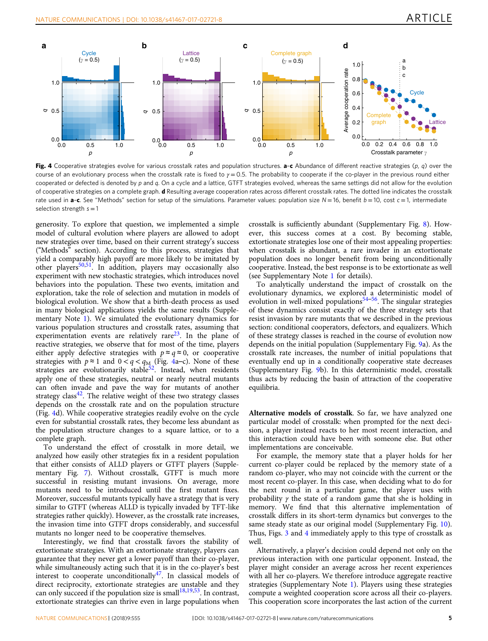<span id="page-4-0"></span>

Fig. 4 Cooperative strategies evolve for various crosstalk rates and population structures. a-c Abundance of different reactive strategies (p, q) over the course of an evolutionary process when the crosstalk rate is fixed to  $\gamma = 0.5$ . The probability to cooperate if the co-player in the previous round either cooperated or defected is denoted by p and q. On a cycle and a lattice, GTFT strategies evolved, whereas the same settings did not allow for the evolution of cooperative strategies on a complete graph. d Resulting average cooperation rates across different crosstalk rates. The dotted line indicates the crosstalk rate used in a-c. See "Methods" section for setup of the simulations. Parameter values: population size  $N = 16$ , benefit  $b = 10$ , cost  $c = 1$ , intermediate selection strength  $s = 1$ 

generosity. To explore that question, we implemented a simple model of cultural evolution where players are allowed to adopt new strategies over time, based on their current strategy's success ("Methods" section). According to this process, strategies that yield a comparably high payoff are more likely to be imitated by other players $50,51$ . In addition, players may occasionally also experiment with new stochastic strategies, which introduces novel behaviors into the population. These two events, imitation and exploration, take the role of selection and mutation in models of biological evolution. We show that a birth-death process as used in many biological applications yields the same results (Supplementary Note 1). We simulated the evolutionary dynamics for various population structures and crosstalk rates, assuming that experimentation events are relatively rare $2<sup>3</sup>$ . In the plane of reactive strategies, we observe that for most of the time, players either apply defective strategies with  $p \approx q \approx 0$ , or cooperative strategies with  $p \approx 1$  and  $0 < q < q_{M_Q}$  (Fig. 4a–c). None of these strategies are evolutionarily stable<sup>[52](#page-7-0)</sup>. Instead, when residents apply one of these strategies, neutral or nearly neutral mutants can often invade and pave the way for mutants of another strategy class<sup>42</sup>. The relative weight of these two strategy classes depends on the crosstalk rate and on the population structure (Fig. 4d). While cooperative strategies readily evolve on the cycle even for substantial crosstalk rates, they become less abundant as the population structure changes to a square lattice, or to a complete graph.

To understand the effect of crosstalk in more detail, we analyzed how easily other strategies fix in a resident population that either consists of ALLD players or GTFT players (Supplementary Fig. 7). Without crosstalk, GTFT is much more successful in resisting mutant invasions. On average, more mutants need to be introduced until the first mutant fixes. Moreover, successful mutants typically have a strategy that is very similar to GTFT (whereas ALLD is typically invaded by TFT-like strategies rather quickly). However, as the crosstalk rate increases, the invasion time into GTFT drops considerably, and successful mutants no longer need to be cooperative themselves.

Interestingly, we find that crosstalk favors the stability of extortionate strategies. With an extortionate strategy, players can guarantee that they never get a lower payoff than their co-player, while simultaneously acting such that it is in the co-player's best interest to cooperate unconditionally<sup>[47](#page-7-0)</sup>. In classical models of direct reciprocity, extortionate strategies are unstable and they can only succeed if the population size is small<sup>[18](#page-6-0),[19](#page-6-0),[53](#page-7-0)</sup>. In contrast, extortionate strategies can thrive even in large populations when

crosstalk is sufficiently abundant (Supplementary Fig. 8). However, this success comes at a cost. By becoming stable, extortionate strategies lose one of their most appealing properties: when crosstalk is abundant, a rare invader in an extortionate population does no longer benefit from being unconditionally cooperative. Instead, the best response is to be extortionate as well (see Supplementary Note 1 for details).

To analytically understand the impact of crosstalk on the evolutionary dynamics, we explored a deterministic model of evolution in well-mixed populations<sup>[54](#page-7-0)–56</sup>. The singular strategies of these dynamics consist exactly of the three strategy sets that resist invasion by rare mutants that we described in the previous section: conditional cooperators, defectors, and equalizers. Which of these strategy classes is reached in the course of evolution now depends on the initial population (Supplementary Fig. 9a). As the crosstalk rate increases, the number of initial populations that eventually end up in a conditionally cooperative state decreases (Supplementary Fig. 9b). In this deterministic model, crosstalk thus acts by reducing the basin of attraction of the cooperative equilibria.

Alternative models of crosstalk. So far, we have analyzed one particular model of crosstalk: when prompted for the next decision, a player instead reacts to her most recent interaction, and this interaction could have been with someone else. But other implementations are conceivable.

For example, the memory state that a player holds for her current co-player could be replaced by the memory state of a random co-player, who may not coincide with the current or the most recent co-player. In this case, when deciding what to do for the next round in a particular game, the player uses with probability  $\gamma$  the state of a random game that she is holding in memory. We find that this alternative implementation of crosstalk differs in its short-term dynamics but converges to the same steady state as our original model (Supplementary Fig. 10). Thus, Figs. [3](#page-3-0) and 4 immediately apply to this type of crosstalk as well.

Alternatively, a player's decision could depend not only on the previous interaction with one particular opponent. Instead, the player might consider an average across her recent experiences with all her co-players. We therefore introduce aggregate reactive strategies (Supplementary Note 1). Players using these strategies compute a weighted cooperation score across all their co-players. This cooperation score incorporates the last action of the current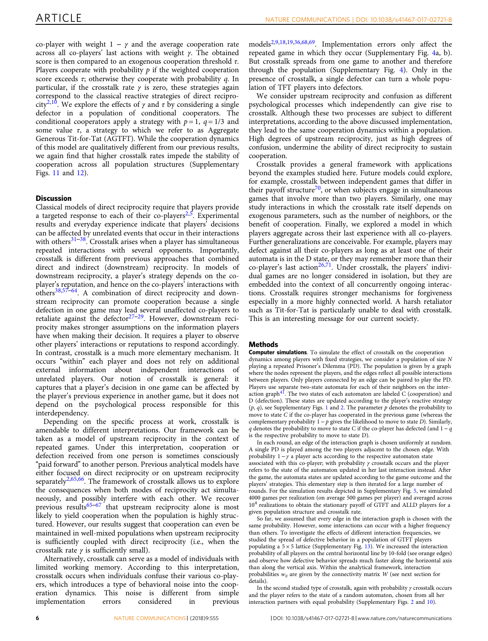co-player with weight  $1 - \gamma$  and the average cooperation rate across all co-players' last actions with weight γ. The obtained score is then compared to an exogenous cooperation threshold  $\tau$ . Players cooperate with probability  $p$  if the weighted cooperation score exceeds  $\tau$ ; otherwise they cooperate with probability *a*. In particular, if the crosstalk rate  $\gamma$  is zero, these strategies again correspond to the classical reactive strategies of direct reciprocity<sup>2,10</sup>. We explore the effects of  $\gamma$  and  $\tau$  by considering a single defector in a population of conditional cooperators. The conditional cooperators apply a strategy with  $p=1$ ,  $q=1/3$  and some value  $\tau$ , a strategy to which we refer to as Aggregate Generous Tit-for-Tat (AGTFT). While the cooperation dynamics of this model are qualitatively different from our previous results, we again find that higher crosstalk rates impede the stability of cooperation across all population structures (Supplementary Figs. 11 and 12).

### **Discussion**

Classical models of direct reciprocity require that players provide a targeted response to each of their co-players<sup>[2,5](#page-6-0)</sup>. Experimental results and everyday experience indicate that players' decisions can be affected by unrelated events that occur in their interactions with others $31-38$  $31-38$ . Crosstalk arises when a player has simultaneous repeated interactions with several opponents. Importantly, crosstalk is different from previous approaches that combined direct and indirect (downstream) reciprocity. In models of downstream reciprocity, a player's strategy depends on the coplayer's reputation, and hence on the co-players' interactions with other[s38](#page-7-0),[57](#page-7-0)–[64](#page-7-0). A combination of direct reciprocity and downstream reciprocity can promote cooperation because a single defection in one game may lead several unaffected co-players to retaliate against the defector $27-29$  $27-29$  $27-29$ . However, downstream reciprocity makes stronger assumptions on the information players have when making their decision. It requires a player to observe other players' interactions or reputations to respond accordingly. In contrast, crosstalk is a much more elementary mechanism. It occurs "within" each player and does not rely on additional external information about independent interactions of unrelated players. Our notion of crosstalk is general: it captures that a player's decision in one game can be affected by the player's previous experience in another game, but it does not depend on the psychological process responsible for this interdependency.

Depending on the specific process at work, crosstalk is amendable to different interpretations. Our framework can be taken as a model of upstream reciprocity in the context of repeated games. Under this interpretation, cooperation or defection received from one person is sometimes consciously "paid forward" to another person. Previous analytical models have either focused on direct reciprocity or on upstream reciprocity separately<sup>[2](#page-6-0),65,66</sup>. The framework of crosstalk allows us to explore the consequences when both modes of reciprocity act simultaneously, and possibly interfere with each other. We recover previous results<sup>[65](#page-7-0)–[67](#page-7-0)</sup> that upstream reciprocity alone is most likely to yield cooperation when the population is highly structured. However, our results suggest that cooperation can even be maintained in well-mixed populations when upstream reciprocity is sufficiently coupled with direct reciprocity (i.e., when the crosstalk rate  $\gamma$  is sufficiently small).

Alternatively, crosstalk can serve as a model of individuals with limited working memory. According to this interpretation, crosstalk occurs when individuals confuse their various co-players, which introduces a type of behavioral noise into the cooperation dynamics. This noise is different from simple implementation errors considered in previous models<sup>[2](#page-6-0),[9,18,19,](#page-6-0)[36,68,69](#page-7-0)</sup>. Implementation errors only affect the repeated game in which they occur (Supplementary Fig. 4a, b). But crosstalk spreads from one game to another and therefore through the population (Supplementary Fig. 4). Only in the presence of crosstalk, a single defector can turn a whole population of TFT players into defectors.

We consider upstream reciprocity and confusion as different psychological processes which independently can give rise to crosstalk. Although these two processes are subject to different interpretations, according to the above discussed implementation, they lead to the same cooperation dynamics within a population. High degrees of upstream reciprocity, just as high degrees of confusion, undermine the ability of direct reciprocity to sustain cooperation.

Crosstalk provides a general framework with applications beyond the examples studied here. Future models could explore, for example, crosstalk between independent games that differ in their payoff structure<sup>70</sup>, or when subjects engage in simultaneous games that involve more than two players. Similarly, one may study interactions in which the crosstalk rate itself depends on exogenous parameters, such as the number of neighbors, or the benefit of cooperation. Finally, we explored a model in which players aggregate across their last experience with all co-players. Further generalizations are conceivable. For example, players may defect against all their co-players as long as at least one of their automata is in the D state, or they may remember more than their co-player's last action<sup>26,71</sup>. Under crosstalk, the players' individual games are no longer considered in isolation, but they are embedded into the context of all concurrently ongoing interactions. Crosstalk requires stronger mechanisms for forgiveness especially in a more highly connected world. A harsh retaliator such as Tit-for-Tat is particularly unable to deal with crosstalk. This is an interesting message for our current society.

#### **Methods**

Computer simulations. To simulate the effect of crosstalk on the cooperation dynamics among players with fixed strategies, we consider a population of size N playing a repeated Prisoner's Dilemma (PD). The population is given by a graph where the nodes represent the players, and the edges reflect all possible interactions between players. Only players connected by an edge can be paired to play the PD. Players use separate two-state automata for each of their neighbors on the inter-action graph<sup>[41](#page-7-0)</sup>. The two states of each automaton are labeled  $C$  (cooperation) and D (defection). These states are updated according to the player's reactive strategy  $(p, q)$ , see Supplementary Figs. 1 and 2. The parameter p denotes the probability to move to state  $\overline{C}$  if the co-player has cooperated in the previous game (whereas the complementary probability  $1 - p$  gives the likelihood to move to state D). Similarly, q denotes the probability to move to state C if the co-player has defected (and  $1 - q$ is the respective probability to move to state D).

In each round, an edge of the interaction graph is chosen uniformly at random. A single PD is played among the two players adjacent to the chosen edge. With probability  $1 - \gamma$  a player acts according to the respective automaton state associated with this co-player; with probability  $\gamma$  crosstalk occurs and the player refers to the state of the automaton updated in her last interaction instead. After the game, the automata states are updated according to the game outcome and the players' strategies. This elementary step is then iterated for a large number of rounds. For the simulation results depicted in Supplementary Fig. 5, we simulated 4000 games per realization (on average 500 games per player) and averaged across 10<sup>4</sup> realizations to obtain the stationary payoff of GTFT and ALLD players for a given population structure and crosstalk rate.

So far, we assumed that every edge in the interaction graph is chosen with the same probability. However, some interactions can occur with a higher frequency than others. To investigate the effects of different interaction frequencies, we studied the spread of defective behavior in a population of GTFT players populating a  $5 \times 5$  lattice (Supplementary Fig. 13). We increased the interaction probability of all players on the central horizontal line by 10-fold (see orange edges) and observe how defective behavior spreads much faster along the horizontal axis than along the vertical axis. Within the analytical framework, interaction probabilities  $w_{ij}$  are given by the connectivity matrix W (see next section for details).

In the second studied type of crosstalk, again with probability  $\gamma$  crosstalk occurs and the player refers to the state of a random automaton, chosen from all her interaction partners with equal probability (Supplementary Figs. 2 and 10).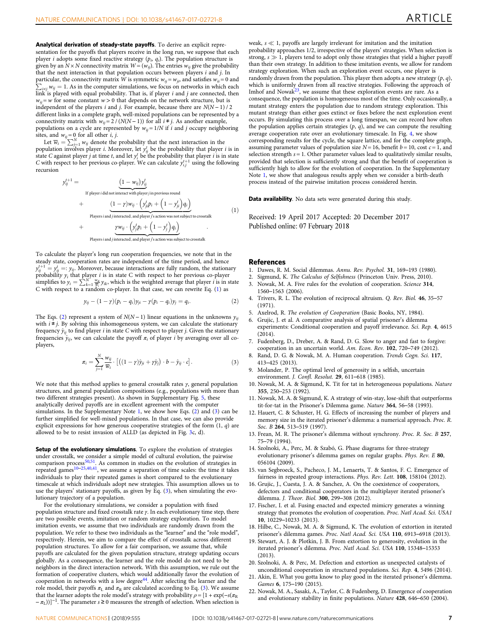<span id="page-6-0"></span>Analytical derivation of steady-state payoffs. To derive an explicit representation for the payoffs that players receive in the long run, we suppose that each player *i* adopts some fixed reactive strategy  $(p_i, q_i)$ . The population structure is given by an  $N \times N$  connectivity matrix  $W = (w_{ij})$ . The entries  $w_{ij}$  give the probability that the next interaction in that population occurs between players  $i$  and  $j$ . In particular, the connectivity matrix W is symmetric  $w_{ij} = w_{ji}$ , and satisfies  $w_{ii} = 0$  and  $\sum_{i \le j} w_{ij} = 1$ . As in the computer simulations, we focus on networks in which each link is played with equal probability. That is, if player  $i$  and  $j$  are connected, then  $w_{ii} = w$  for some constant  $w > 0$  that depends on the network structure, but is independent of the players i and j. For example, because there are  $N(N-1)/2$ different links in a complete graph, well-mixed populations can be represented by a connectivity matrix with  $w_{ii} = 2/(N(N-1))$  for all  $i \neq j$ . As another example, populations on a cycle are represented by  $w_{ii} = 1/N$  if i and j occupy neighboring

sites, and  $w_{ij} = 0$  for all other *i*, *j*.<br>Let  $\overline{w}_i = \sum_{j=1}^{N} w_{ij}$  denote the probability that the next interaction in the population involves player *i*. Moreover, let  $y_{ij}^t$  be the probability that player *i* is in state *C* against player *i* at time *t*, and let  $y_i^t$  be the probability that player *i* is in state C with respect to her previous co-player. We can calculate  $y_{i,j}^{t+1}$  using the following recursion

$$
y_{ij}^{t+1} = \underbrace{\left(1 - w_{ij}\right)y_{ij}^t}_{\text{If player i did not interact with player j in previous round}} \\ + \underbrace{\left(1 - \gamma\right)w_{ij} \cdot \left(y_{ji}^t p_i + \left(1 - y_{ji}^t\right) q_i\right)}_{\text{Players i and jinteracted, and player j's action was not subject to crosstalk}} \\ + \underbrace{\gamma w_{ij} \cdot \left(y_j^t p_i + \left(1 - y_j^t\right) q_i\right)}_{\text{Players i and j interacted, and player j's action was subject to crosstalk}}
$$
\n
$$
(1)
$$

To calculate the player's long run cooperation frequencies, we note that in the steady state, cooperation rates are independent of the time period, and hence  $y_{ij}^{t+1} = y_{ij}^t =: y_{ij}$ . Moreover, because interactions are fully random, the stationary probability  $y_i$  that player *i* is in state C with respect to her previous co-player simplifies to  $y_i = \sum_{k=1}^{N} \frac{w_k}{\overline{w}_i} y_{ik}$ , which is the weighted average that player *i* is in state C with respect to a random c

$$
y_{ij} - (1 - \gamma)(p_i - q_i)y_{ji} - \gamma(p_i - q_i)y_j = q_i.
$$
 (2)

The Eqs. (2) represent a system of  $N(N-1)$  linear equations in the unknowns  $y_{ij}$ with  $i \neq j$ . By solving this inhomogeneous system, we can calculate the stationary frequency  $\hat{y}_{ii}$  to find player i in state C with respect to player j. Given the stationary frequencies  $\hat{y}_{ii}$ , we can calculate the payoff  $\pi_i$  of player i by averaging over all coplayers,

$$
\pi_i = \sum_{j=1}^N \frac{w_{ij}}{\overline{w}_i} \cdot \left[ \left( (1-\gamma)\hat{y}_{ji} + \gamma \hat{y}_j \right) \cdot b - \hat{y}_{ij} \cdot c \right]. \tag{3}
$$

We note that this method applies to general crosstalk rates  $\gamma$ , general population structures, and general population compositions (e.g., populations with more than two different strategies present). As shown in Supplementary Fig. 5, these analytically derived payoffs are in excellent agreement with the computer simulations. In the Supplementary Note 1, we show how Eqs. (2) and (3) can be further simplified for well-mixed populations. In that case, we can also provide explicit expressions for how generous cooperative strategies of the form  $(1, q)$  are allowed to be to resist invasion of ALLD (as depicted in Fig. [3c](#page-3-0), d).

Setup of the evolutionary simulations. To explore the evolution of strategies under crosstalk, we consider a simple model of cultural evolution, the pairwise comparison process<sup>[50,51](#page-7-0)</sup>. As common in studies on the evolution of strategies in repeated games<sup>10–25,40,41</sup>, we assume a separation of time scales: the time it takes individuals to play their repeated games is short compared to the evolutionary timescale at which individuals adopt new strategies. This assumption allows us to use the players' stationary payoffs, as given by Eq. (3), when simulating the evolutionary trajectory of a population.

For the evolutionary simulations, we consider a population with fixed population structure and fixed crosstalk rate  $\gamma$ . In each evolutionary time step, there are two possible events, imitation or random strategy exploration. To model imitation events, we assume that two individuals are randomly drawn from the population. We refer to these two individuals as the "learner" and the "role model", respectively. Herein, we aim to compare the effect of crosstalk across different population structures. To allow for a fair comparison, we assume that, while payoffs are calculated for the given population structure, strategy updating occurs globally. As a consequence, the learner and the role model do not need to be neighbors in the direct interaction network. With this assumption, we rule out the formation of cooperative clusters, which would additionally favor the evolution of cooperation in networks with a low degree $44$ . After selecting the learner and the role model, their payoffs  $\pi_L$  and  $\pi_R$  are calculated according to Eq. (3). We assume that the learner adopts the role model's strategy with probability  $\rho = [1 + \exp(-s(\pi_R$  $-\pi_L$ ))]<sup>-1</sup>. The parameter *s* ≥ 0 measures the strength of selection. When selection is

weak,  $s \ll 1$ , payoffs are largely irrelevant for imitation and the imitation probability approaches 1/2, irrespective of the players' strategies. When selection is strong,  $s \gg 1$ , players tend to adopt only those strategies that yield a higher payoff than their own strategy. In addition to these imitation events, we allow for random strategy exploration. When such an exploration event occurs, one player is randomly drawn from the population. This player then adopts a new strategy  $(p, q)$ , which is uniformly drawn from all reactive strategies. Following the approach of Imhof and Nowak<sup>[23](#page-7-0)</sup>, we assume that these exploration events are rare. As a consequence, the population is homogeneous most of the time. Only occasionally, a mutant strategy enters the population due to random strategy exploration. This mutant strategy than either goes extinct or fixes before the next exploration event occurs. By simulating this process over a long timespan, we can record how often the population applies certain strategies  $(p, q)$ , and we can compute the resulting average cooperation rate over an evolutionary timescale. In Fig. [4](#page-4-0), we show corresponding results for the cycle, the square lattice, and for the complete graph, assuming parameter values of population size  $N = 16$ , benefit  $b = 10$ , cost  $c = 1$ , and selection strength  $s = 1$ . Other parameter values lead to qualitatively similar results, provided that selection is sufficiently strong and that the benefit of cooperation is sufficiently high to allow for the evolution of cooperation. In the Supplementary Note 1, we show that analogous results apply when we consider a birth-death process instead of the pairwise imitation process considered herein.

Data availability. No data sets were generated during this study.

Received: 19 April 2017 Accepted: 20 December 2017 Published online: 07 February 2018

#### **References**

- 1. Dawes, R. M. Social dilemmas. Annu. Rev. Psychol. 31, 169–193 (1980).
- 2. Sigmund, K. The Calculus of Selfishness (Princeton Univ. Press, 2010).
- 3. Nowak, M. A. Five rules for the evolution of cooperation. Science 314, 1560–1563 (2006).
- 4. Trivers, R. L. The evolution of reciprocal altruism. Q. Rev. Biol. 46, 35–57 (1971).
- 5. Axelrod, R. The evolution of Cooperation (Basic Books, NY, 1984).
- 6. Grujic, J. et al. A comparative analysis of spatial prisoner's dilemma experiments: Conditional cooperation and payoff irrelevance. Sci. Rep. 4, 4615 (2014).
- 7. Fudenberg, D., Dreber, A. & Rand, D. G. Slow to anger and fast to forgive: cooperation in an uncertain world. Am. Econ. Rev. 102, 720–749 (2012).
- 8. Rand, D. G. & Nowak, M. A. Human cooperation. Trends Cogn. Sci. 117, 413–425 (2013).
- 9. Molander, P. The optimal level of generosity in a selfish, uncertain environment. J. Confl. Resolut. 29, 611–618 (1985).
- 10. Nowak, M. A. & Sigmund, K. Tit for tat in heterogeneous populations. Nature 355, 250–253 (1992).
- 11. Nowak, M. A. & Sigmund, K. A strategy of win-stay, lose-shift that outperforms tit-for-tat in the Prisoner's Dilemma game. Nature 364, 56–58 (1993).
- 12. Hauert, C. & Schuster, H. G. Effects of increasing the number of players and memory size in the iterated prisoner's dilemma: a numerical approach. Proc. R. Soc. B 264, 513-519 (1997).
- 13. Frean, M. R. The prisoner's dilemma without synchrony. Proc. R. Soc. B 257, 75–79 (1994).
- 14. Szolnoki, A., Perc, M. & Szabó, G. Phase diagrams for three-strategy evolutionary prisoner's dilemma games on regular graphs. Phys. Rev. E 80, 056104 (2009).
- 15. van Segbroeck, S., Pacheco, J. M., Lenaerts, T. & Santos, F. C. Emergence of fairness in repeated group interactions. Phys. Rev. Lett. 108, 158104 (2012).
- 16. Grujic, J., Cuesta, J. A. & Sanchez, A. On the coexistence of cooperators, defectors and conditional cooperators in the multiplayer iterated prisoner's dilemma. J. Theor. Biol. 300, 299–308 (2012).
- 17. Fischer, I. et al. Fusing enacted and expected mimicry generates a winning strategy that promotes the evolution of cooperation. Proc. Natl Acad. Sci. USA1 10, 10229–10233 (2013).
- 18. Hilbe, C., Nowak, M. A. & Sigmund, K. The evolution of extortion in iterated prisoner's dilemma games. Proc. Natl Acad. Sci. USA 110, 6913–6918 (2013).
- 19. Stewart, A. J. & Plotkin, J. B. From extortion to generosity, evolution in the iterated prisoner's dilemma. Proc. Natl Acad. Sci. USA 110, 15348–15353 (2013).
- 20. Szolnoki, A. & Perc, M. Defection and extortion as unexpected catalysts of unconditional cooperation in structured populations. Sci. Rep. 4, 5496 (2014).
- 21. Akin, E. What you gotta know to play good in the iterated prisoner's dilemma. Games **6**, 175-190 (2015).
- 22. Nowak, M. A., Sasaki, A., Taylor, C. & Fudenberg, D. Emergence of cooperation and evolutionary stability in finite populations. Nature 428, 646–650 (2004).